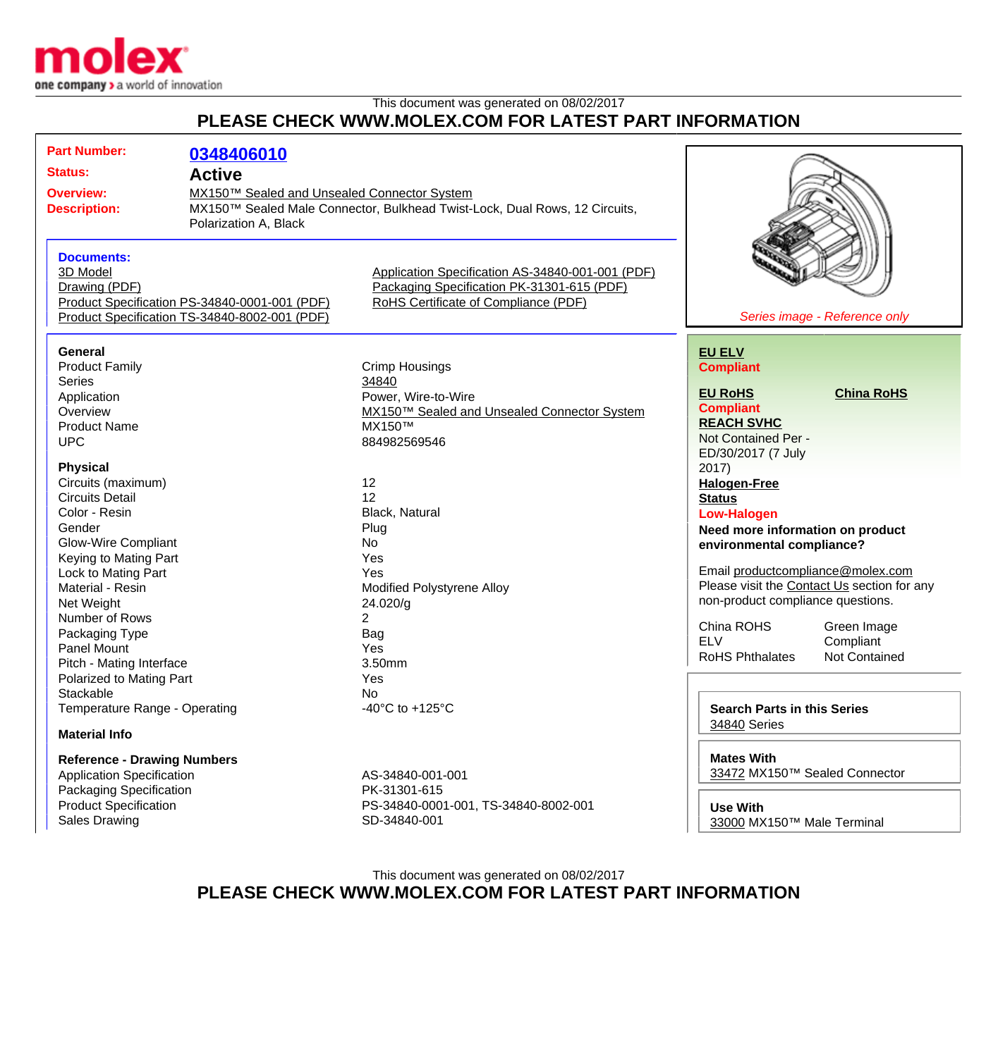

## This document was generated on 08/02/2017 **PLEASE CHECK WWW.MOLEX.COM FOR LATEST PART INFORMATION**

| <b>Part Number:</b><br><b>Status:</b><br><b>Overview:</b><br><b>Description:</b><br><b>Documents:</b><br>3D Model                                                                                                                                                                                                            | 0348406010<br><b>Active</b><br>MX150™ Sealed and Unsealed Connector System<br>MX150™ Sealed Male Connector, Bulkhead Twist-Lock, Dual Rows, 12 Circuits,<br>Polarization A, Black<br>Application Specification AS-34840-001-001 (PDF) |                                                                                                                                             |                                                                                                                                                                                                                                                                      |                                                                                                 |
|------------------------------------------------------------------------------------------------------------------------------------------------------------------------------------------------------------------------------------------------------------------------------------------------------------------------------|---------------------------------------------------------------------------------------------------------------------------------------------------------------------------------------------------------------------------------------|---------------------------------------------------------------------------------------------------------------------------------------------|----------------------------------------------------------------------------------------------------------------------------------------------------------------------------------------------------------------------------------------------------------------------|-------------------------------------------------------------------------------------------------|
| Drawing (PDF)                                                                                                                                                                                                                                                                                                                | Product Specification PS-34840-0001-001 (PDF)                                                                                                                                                                                         | Packaging Specification PK-31301-615 (PDF)<br>RoHS Certificate of Compliance (PDF)                                                          |                                                                                                                                                                                                                                                                      |                                                                                                 |
|                                                                                                                                                                                                                                                                                                                              | Product Specification TS-34840-8002-001 (PDF)                                                                                                                                                                                         |                                                                                                                                             |                                                                                                                                                                                                                                                                      | Series image - Reference only                                                                   |
| General<br><b>Product Family</b><br><b>Series</b><br>Application<br>Overview                                                                                                                                                                                                                                                 |                                                                                                                                                                                                                                       | <b>Crimp Housings</b><br>34840<br>Power, Wire-to-Wire<br>MX150™ Sealed and Unsealed Connector System                                        | <b>EU ELV</b><br><b>Compliant</b><br><b>EU RoHS</b><br><b>Compliant</b>                                                                                                                                                                                              | <b>China RoHS</b>                                                                               |
| <b>Product Name</b><br><b>UPC</b>                                                                                                                                                                                                                                                                                            |                                                                                                                                                                                                                                       | MX150™<br>884982569546                                                                                                                      | <b>REACH SVHC</b><br>Not Contained Per -<br>ED/30/2017 (7 July                                                                                                                                                                                                       |                                                                                                 |
| <b>Physical</b><br>Circuits (maximum)<br><b>Circuits Detail</b><br>Color - Resin<br>Gender<br><b>Glow-Wire Compliant</b><br>Keying to Mating Part<br>Lock to Mating Part<br>Material - Resin<br>Net Weight<br>Number of Rows<br>Packaging Type<br><b>Panel Mount</b><br>Pitch - Mating Interface<br>Polarized to Mating Part |                                                                                                                                                                                                                                       | 12<br>12<br>Black, Natural<br>Plug<br>No<br>Yes<br>Yes<br>Modified Polystyrene Alloy<br>24.020/g<br>2<br><b>Bag</b><br>Yes<br>3.50mm<br>Yes | 2017)<br><b>Halogen-Free</b><br><b>Status</b><br><b>Low-Halogen</b><br>Need more information on product<br>environmental compliance?<br>Email productcompliance@molex.com<br>non-product compliance questions.<br>China ROHS<br><b>ELV</b><br><b>RoHS Phthalates</b> | Please visit the Contact Us section for any<br>Green Image<br>Compliant<br><b>Not Contained</b> |
| Stackable<br>Temperature Range - Operating<br><b>Material Info</b>                                                                                                                                                                                                                                                           |                                                                                                                                                                                                                                       | No<br>-40°C to +125°C                                                                                                                       | <b>Search Parts in this Series</b><br>34840 Series                                                                                                                                                                                                                   |                                                                                                 |
| <b>Reference - Drawing Numbers</b><br><b>Application Specification</b><br><b>Packaging Specification</b><br><b>Product Specification</b>                                                                                                                                                                                     |                                                                                                                                                                                                                                       | AS-34840-001-001<br>PK-31301-615<br>PS-34840-0001-001, TS-34840-8002-001                                                                    | <b>Mates With</b><br>33472 MX150™ Sealed Connector<br><b>Use With</b>                                                                                                                                                                                                |                                                                                                 |

This document was generated on 08/02/2017 **PLEASE CHECK WWW.MOLEX.COM FOR LATEST PART INFORMATION**

[33000](http://www.molex.com/molex/products/listview.jsp?channel=Products&sType=s&query=33000) MX150™ Male Terminal

Sales Drawing SD-34840-001